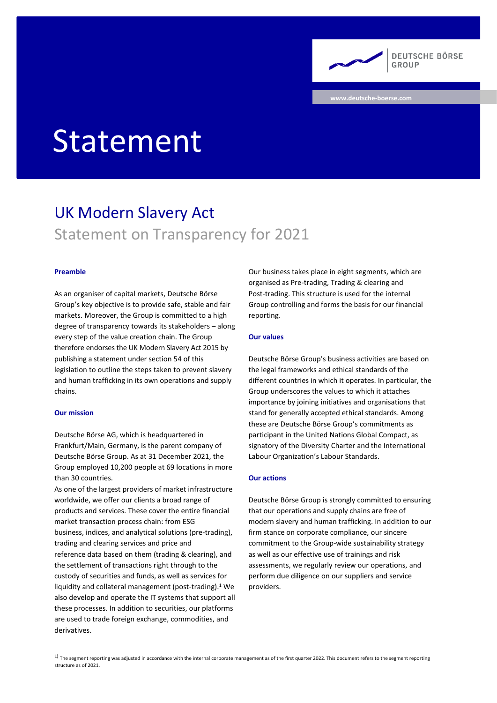**DEUTSCHE BÖRSE** GROUP

**www.deutsche-boerse.com**

# Statement

# UK Modern Slavery Act Statement on Transparency for 2021

# **Preamble**

As an organiser of capital markets, Deutsche Börse Group's key objective is to provide safe, stable and fair markets. Moreover, the Group is committed to a high degree of transparency towards its stakeholders – along every step of the value creation chain. The Group therefore endorses the UK Modern Slavery Act 2015 by publishing a statement under section 54 of this legislation to outline the steps taken to prevent slavery and human trafficking in its own operations and supply chains.

#### **Our mission**

Deutsche Börse AG, which is headquartered in Frankfurt/Main, Germany, is the parent company of Deutsche Börse Group. As at 31 December 2021, the Group employed 10,200 people at 69 locations in more than 30 countries.

As one of the largest providers of market infrastructure worldwide, we offer our clients a broad range of products and services. These cover the entire financial market transaction process chain: from ESG business, indices, and analytical solutions (pre-trading), trading and clearing services and price and reference data based on them (trading & clearing), and the settlement of transactions right through to the custody of securities and funds, as well as services for liquidity and collateral management (post-trading).<sup>1</sup> We also develop and operate the IT systems that support all these processes. In addition to securities, our platforms are used to trade foreign exchange, commodities, and derivatives.

Our business takes place in eight segments, which are organised as Pre-trading, Trading & clearing and Post-trading. This structure is used for the internal Group controlling and forms the basis for our financial reporting.

# **Our values**

Deutsche Börse Group's business activities are based on the legal frameworks and ethical standards of the different countries in which it operates. In particular, the Group underscores the values to which it attaches importance by joining initiatives and organisations that stand for generally accepted ethical standards. Among these are Deutsche Börse Group's commitments as participant in the United Nations Global Compact, as signatory of the Diversity Charter and the International Labour Organization's Labour Standards.

# **Our actions**

Deutsche Börse Group is strongly committed to ensuring that our operations and supply chains are free of modern slavery and human trafficking. In addition to our firm stance on corporate compliance, our sincere commitment to the Group-wide sustainability strategy as well as our effective use of trainings and risk assessments, we regularly review our operations, and perform due diligence on our suppliers and service providers.

 $1)$  The segment reporting was adjusted in accordance with the internal corporate management as of the first quarter 2022. This document refers to the segment reporting structure as of 2021.